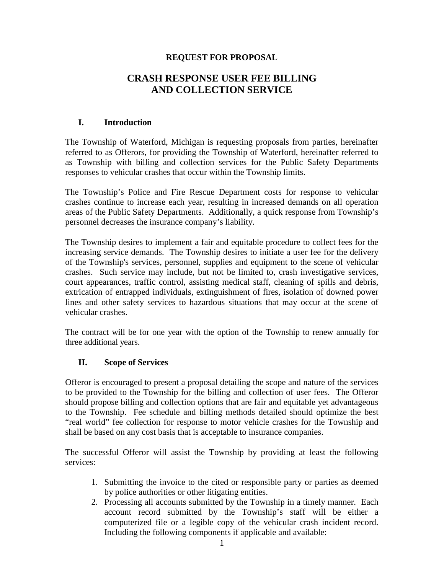## **REQUEST FOR PROPOSAL**

## **CRASH RESPONSE USER FEE BILLING AND COLLECTION SERVICE**

### **I. Introduction**

The Township of Waterford, Michigan is requesting proposals from parties, hereinafter referred to as Offerors, for providing the Township of Waterford, hereinafter referred to as Township with billing and collection services for the Public Safety Departments responses to vehicular crashes that occur within the Township limits.

The Township's Police and Fire Rescue Department costs for response to vehicular crashes continue to increase each year, resulting in increased demands on all operation areas of the Public Safety Departments. Additionally, a quick response from Township's personnel decreases the insurance company's liability.

The Township desires to implement a fair and equitable procedure to collect fees for the increasing service demands. The Township desires to initiate a user fee for the delivery of the Township's services, personnel, supplies and equipment to the scene of vehicular crashes. Such service may include, but not be limited to, crash investigative services, court appearances, traffic control, assisting medical staff, cleaning of spills and debris, extrication of entrapped individuals, extinguishment of fires, isolation of downed power lines and other safety services to hazardous situations that may occur at the scene of vehicular crashes.

The contract will be for one year with the option of the Township to renew annually for three additional years.

## **II. Scope of Services**

Offeror is encouraged to present a proposal detailing the scope and nature of the services to be provided to the Township for the billing and collection of user fees. The Offeror should propose billing and collection options that are fair and equitable yet advantageous to the Township. Fee schedule and billing methods detailed should optimize the best "real world" fee collection for response to motor vehicle crashes for the Township and shall be based on any cost basis that is acceptable to insurance companies.

The successful Offeror will assist the Township by providing at least the following services:

- 1. Submitting the invoice to the cited or responsible party or parties as deemed by police authorities or other litigating entities.
- 2. Processing all accounts submitted by the Township in a timely manner. Each account record submitted by the Township's staff will be either a computerized file or a legible copy of the vehicular crash incident record. Including the following components if applicable and available: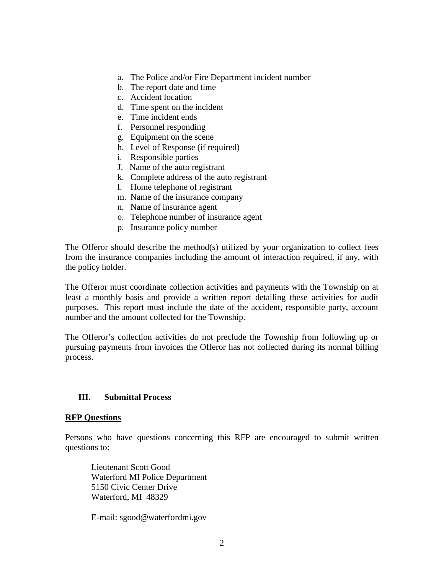- a. The Police and/or Fire Department incident number
- b. The report date and time
- c. Accident location
- d. Time spent on the incident
- e. Time incident ends
- f. Personnel responding
- g. Equipment on the scene
- h. Level of Response (if required)
- i. Responsible parties
- J. Name of the auto registrant
- k. Complete address of the auto registrant
- l. Home telephone of registrant
- m. Name of the insurance company
- n. Name of insurance agent
- o. Telephone number of insurance agent
- p. Insurance policy number

The Offeror should describe the method(s) utilized by your organization to collect fees from the insurance companies including the amount of interaction required, if any, with the policy holder.

The Offeror must coordinate collection activities and payments with the Township on at least a monthly basis and provide a written report detailing these activities for audit purposes. This report must include the date of the accident, responsible party, account number and the amount collected for the Township.

The Offeror's collection activities do not preclude the Township from following up or pursuing payments from invoices the Offeror has not collected during its normal billing process.

#### **III. Submittal Process**

#### **RFP Questions**

Persons who have questions concerning this RFP are encouraged to submit written questions to:

Lieutenant Scott Good Waterford MI Police Department 5150 Civic Center Drive Waterford, MI 48329

E-mail: sgood@waterfordmi.gov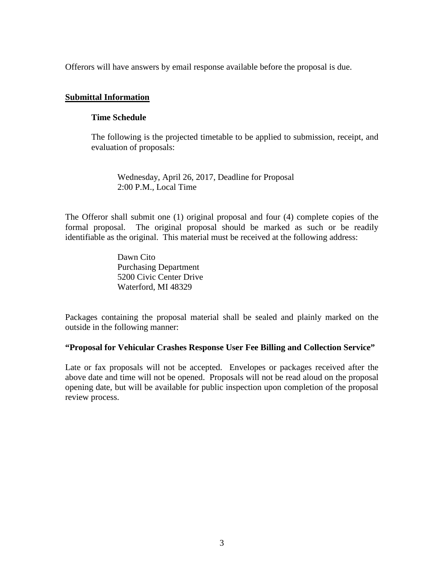Offerors will have answers by email response available before the proposal is due.

#### **Submittal Information**

#### **Time Schedule**

The following is the projected timetable to be applied to submission, receipt, and evaluation of proposals:

Wednesday, April 26, 2017, Deadline for Proposal 2:00 P.M., Local Time

The Offeror shall submit one (1) original proposal and four (4) complete copies of the formal proposal. The original proposal should be marked as such or be readily identifiable as the original. This material must be received at the following address:

> Dawn Cito Purchasing Department 5200 Civic Center Drive Waterford, MI 48329

Packages containing the proposal material shall be sealed and plainly marked on the outside in the following manner:

#### **"Proposal for Vehicular Crashes Response User Fee Billing and Collection Service"**

Late or fax proposals will not be accepted. Envelopes or packages received after the above date and time will not be opened. Proposals will not be read aloud on the proposal opening date, but will be available for public inspection upon completion of the proposal review process.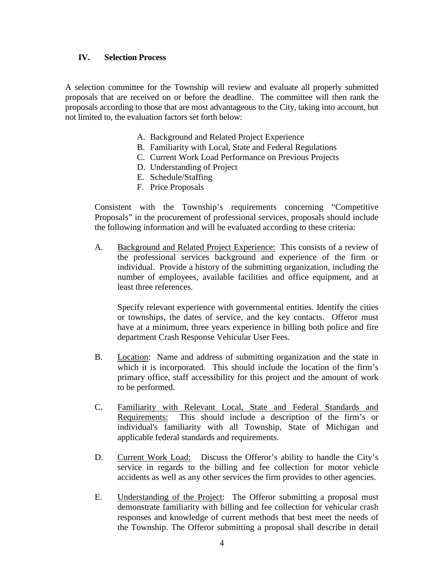#### **IV. Selection Process**

A selection committee for the Township will review and evaluate all properly submitted proposals that are received on or before the deadline. The committee will then rank the proposals according to those that are most advantageous to the City, taking into account, but not limited to, the evaluation factors set forth below:

- A. Background and Related Project Experience
- B. Familiarity with Local, State and Federal Regulations
- C. Current Work Load Performance on Previous Projects
- D. Understanding of Project
- E. Schedule/Staffing
- F. Price Proposals

Consistent with the Township's requirements concerning "Competitive Proposals" in the procurement of professional services, proposals should include the following information and will be evaluated according to these criteria:

A. Background and Related Project Experience: This consists of a review of the professional services background and experience of the firm or individual. Provide a history of the submitting organization, including the number of employees, available facilities and office equipment, and at least three references.

Specify relevant experience with governmental entities. Identify the cities or townships, the dates of service, and the key contacts. Offeror must have at a minimum, three years experience in billing both police and fire department Crash Response Vehicular User Fees.

- B. Location: Name and address of submitting organization and the state in which it is incorporated. This should include the location of the firm's primary office, staff accessibility for this project and the amount of work to be performed.
- C. Familiarity with Relevant Local, State and Federal Standards and Requirements: This should include a description of the firm's or individual's familiarity with all Township, State of Michigan and applicable federal standards and requirements.
- D. Current Work Load: Discuss the Offeror's ability to handle the City's service in regards to the billing and fee collection for motor vehicle accidents as well as any other services the firm provides to other agencies.
- E. Understanding of the Project: The Offeror submitting a proposal must demonstrate familiarity with billing and fee collection for vehicular crash responses and knowledge of current methods that best meet the needs of the Township. The Offeror submitting a proposal shall describe in detail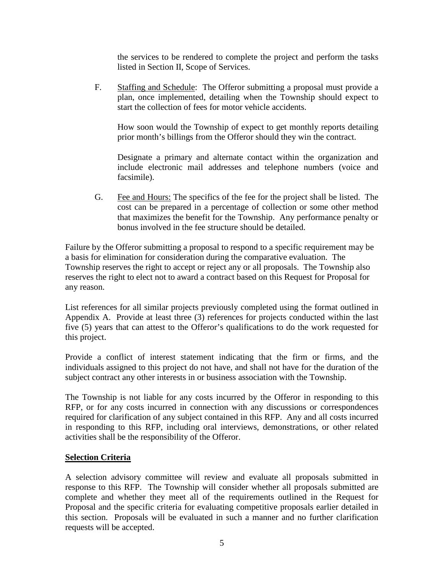the services to be rendered to complete the project and perform the tasks listed in Section II, Scope of Services.

F. Staffing and Schedule: The Offeror submitting a proposal must provide a plan, once implemented, detailing when the Township should expect to start the collection of fees for motor vehicle accidents.

How soon would the Township of expect to get monthly reports detailing prior month's billings from the Offeror should they win the contract.

Designate a primary and alternate contact within the organization and include electronic mail addresses and telephone numbers (voice and facsimile).

G. Fee and Hours: The specifics of the fee for the project shall be listed. The cost can be prepared in a percentage of collection or some other method that maximizes the benefit for the Township. Any performance penalty or bonus involved in the fee structure should be detailed.

Failure by the Offeror submitting a proposal to respond to a specific requirement may be a basis for elimination for consideration during the comparative evaluation. The Township reserves the right to accept or reject any or all proposals. The Township also reserves the right to elect not to award a contract based on this Request for Proposal for any reason.

List references for all similar projects previously completed using the format outlined in Appendix A. Provide at least three (3) references for projects conducted within the last five (5) years that can attest to the Offeror's qualifications to do the work requested for this project.

Provide a conflict of interest statement indicating that the firm or firms, and the individuals assigned to this project do not have, and shall not have for the duration of the subject contract any other interests in or business association with the Township.

The Township is not liable for any costs incurred by the Offeror in responding to this RFP, or for any costs incurred in connection with any discussions or correspondences required for clarification of any subject contained in this RFP. Any and all costs incurred in responding to this RFP, including oral interviews, demonstrations, or other related activities shall be the responsibility of the Offeror.

## **Selection Criteria**

A selection advisory committee will review and evaluate all proposals submitted in response to this RFP. The Township will consider whether all proposals submitted are complete and whether they meet all of the requirements outlined in the Request for Proposal and the specific criteria for evaluating competitive proposals earlier detailed in this section. Proposals will be evaluated in such a manner and no further clarification requests will be accepted.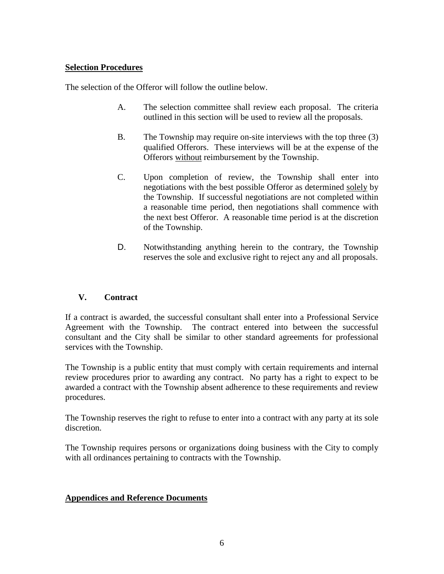## **Selection Procedures**

The selection of the Offeror will follow the outline below.

- A. The selection committee shall review each proposal. The criteria outlined in this section will be used to review all the proposals.
- B. The Township may require on-site interviews with the top three (3) qualified Offerors. These interviews will be at the expense of the Offerors without reimbursement by the Township.
- C. Upon completion of review, the Township shall enter into negotiations with the best possible Offeror as determined solely by the Township. If successful negotiations are not completed within a reasonable time period, then negotiations shall commence with the next best Offeror. A reasonable time period is at the discretion of the Township.
- D. Notwithstanding anything herein to the contrary, the Township reserves the sole and exclusive right to reject any and all proposals.

## **V. Contract**

If a contract is awarded, the successful consultant shall enter into a Professional Service Agreement with the Township. The contract entered into between the successful consultant and the City shall be similar to other standard agreements for professional services with the Township.

The Township is a public entity that must comply with certain requirements and internal review procedures prior to awarding any contract. No party has a right to expect to be awarded a contract with the Township absent adherence to these requirements and review procedures.

The Township reserves the right to refuse to enter into a contract with any party at its sole discretion.

The Township requires persons or organizations doing business with the City to comply with all ordinances pertaining to contracts with the Township.

#### **Appendices and Reference Documents**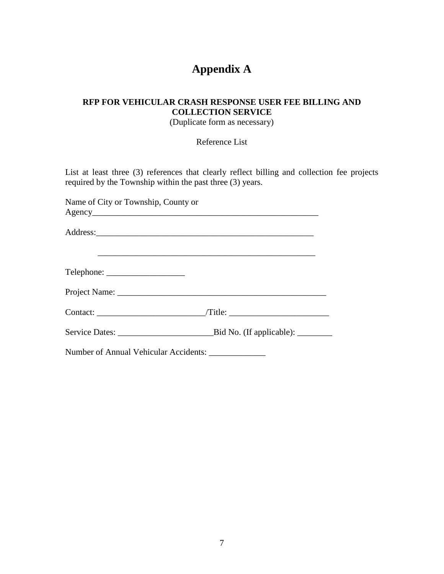# **Appendix A**

## **RFP FOR VEHICULAR CRASH RESPONSE USER FEE BILLING AND COLLECTION SERVICE**

(Duplicate form as necessary)

Reference List

List at least three (3) references that clearly reflect billing and collection fee projects required by the Township within the past three (3) years.

| Name of City or Township, County or                  |  |
|------------------------------------------------------|--|
|                                                      |  |
|                                                      |  |
| $\text{Telephone:}\n \qquad \qquad \text{True}$      |  |
|                                                      |  |
|                                                      |  |
|                                                      |  |
| Number of Annual Vehicular Accidents: ______________ |  |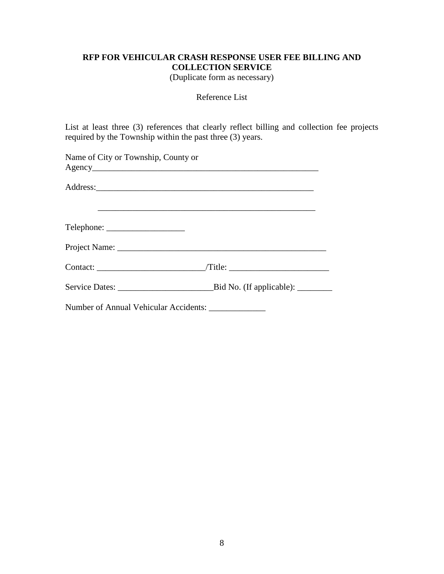## **RFP FOR VEHICULAR CRASH RESPONSE USER FEE BILLING AND COLLECTION SERVICE**

(Duplicate form as necessary)

#### Reference List

List at least three (3) references that clearly reflect billing and collection fee projects required by the Township within the past three (3) years.

| Name of City or Township, County or |                                                                                   |
|-------------------------------------|-----------------------------------------------------------------------------------|
|                                     |                                                                                   |
|                                     |                                                                                   |
|                                     | ,我们也不能在这里的时候,我们也不能在这里的时候,我们也不能会在这里的时候,我们也不能会在这里的时候,我们也不能会在这里的时候,我们也不能会在这里的时候,我们也不 |
|                                     |                                                                                   |
|                                     |                                                                                   |
|                                     |                                                                                   |
|                                     |                                                                                   |
|                                     | Number of Annual Vehicular Accidents: _______________                             |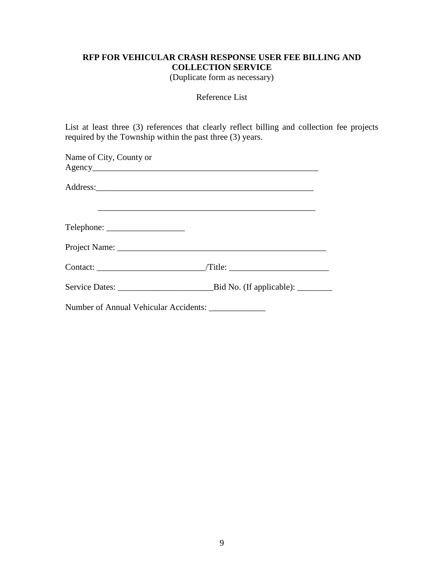## **RFP FOR VEHICULAR CRASH RESPONSE USER FEE BILLING AND COLLECTION SERVICE**

(Duplicate form as necessary)

#### Reference List

List at least three (3) references that clearly reflect billing and collection fee projects required by the Township within the past three (3) years.

| Name of City, County or                             |                 |
|-----------------------------------------------------|-----------------|
|                                                     |                 |
|                                                     |                 |
|                                                     |                 |
|                                                     |                 |
|                                                     |                 |
|                                                     | Contact: Title: |
|                                                     |                 |
| Number of Annual Vehicular Accidents: _____________ |                 |